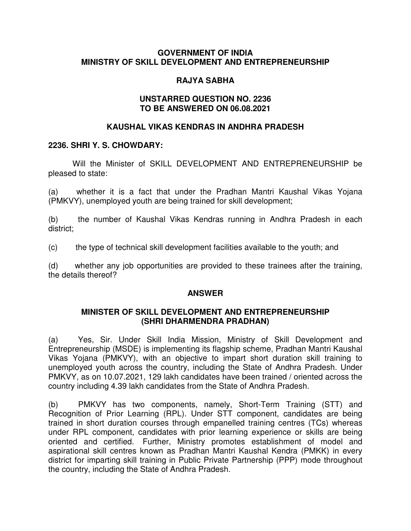### **GOVERNMENT OF INDIA MINISTRY OF SKILL DEVELOPMENT AND ENTREPRENEURSHIP**

# **RAJYA SABHA**

### **UNSTARRED QUESTION NO. 2236 TO BE ANSWERED ON 06.08.2021**

# **KAUSHAL VIKAS KENDRAS IN ANDHRA PRADESH**

### **2236. SHRI Y. S. CHOWDARY:**

Will the Minister of SKILL DEVELOPMENT AND ENTREPRENEURSHIP be pleased to state:

(a) whether it is a fact that under the Pradhan Mantri Kaushal Vikas Yojana (PMKVY), unemployed youth are being trained for skill development;

(b) the number of Kaushal Vikas Kendras running in Andhra Pradesh in each district;

(c) the type of technical skill development facilities available to the youth; and

(d) whether any job opportunities are provided to these trainees after the training, the details thereof?

# **ANSWER**

### **MINISTER OF SKILL DEVELOPMENT AND ENTREPRENEURSHIP (SHRI DHARMENDRA PRADHAN)**

(a) Yes, Sir. Under Skill India Mission, Ministry of Skill Development and Entrepreneurship (MSDE) is implementing its flagship scheme, Pradhan Mantri Kaushal Vikas Yojana (PMKVY), with an objective to impart short duration skill training to unemployed youth across the country, including the State of Andhra Pradesh. Under PMKVY, as on 10.07.2021, 129 lakh candidates have been trained / oriented across the country including 4.39 lakh candidates from the State of Andhra Pradesh.

(b) PMKVY has two components, namely, Short-Term Training (STT) and Recognition of Prior Learning (RPL). Under STT component, candidates are being trained in short duration courses through empanelled training centres (TCs) whereas under RPL component, candidates with prior learning experience or skills are being oriented and certified. Further, Ministry promotes establishment of model and aspirational skill centres known as Pradhan Mantri Kaushal Kendra (PMKK) in every district for imparting skill training in Public Private Partnership (PPP) mode throughout the country, including the State of Andhra Pradesh.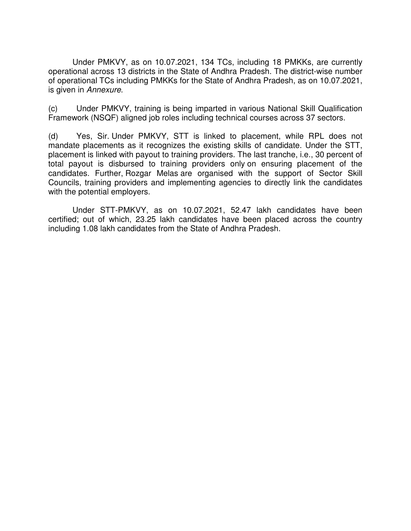Under PMKVY, as on 10.07.2021, 134 TCs, including 18 PMKKs, are currently operational across 13 districts in the State of Andhra Pradesh. The district-wise number of operational TCs including PMKKs for the State of Andhra Pradesh, as on 10.07.2021, is given in Annexure.

(c) Under PMKVY, training is being imparted in various National Skill Qualification Framework (NSQF) aligned job roles including technical courses across 37 sectors.

(d) Yes, Sir. Under PMKVY, STT is linked to placement, while RPL does not mandate placements as it recognizes the existing skills of candidate. Under the STT, placement is linked with payout to training providers. The last tranche, i.e., 30 percent of total payout is disbursed to training providers only on ensuring placement of the candidates. Further, Rozgar Melas are organised with the support of Sector Skill Councils, training providers and implementing agencies to directly link the candidates with the potential employers.

Under STT-PMKVY, as on 10.07.2021, 52.47 lakh candidates have been certified; out of which, 23.25 lakh candidates have been placed across the country including 1.08 lakh candidates from the State of Andhra Pradesh.